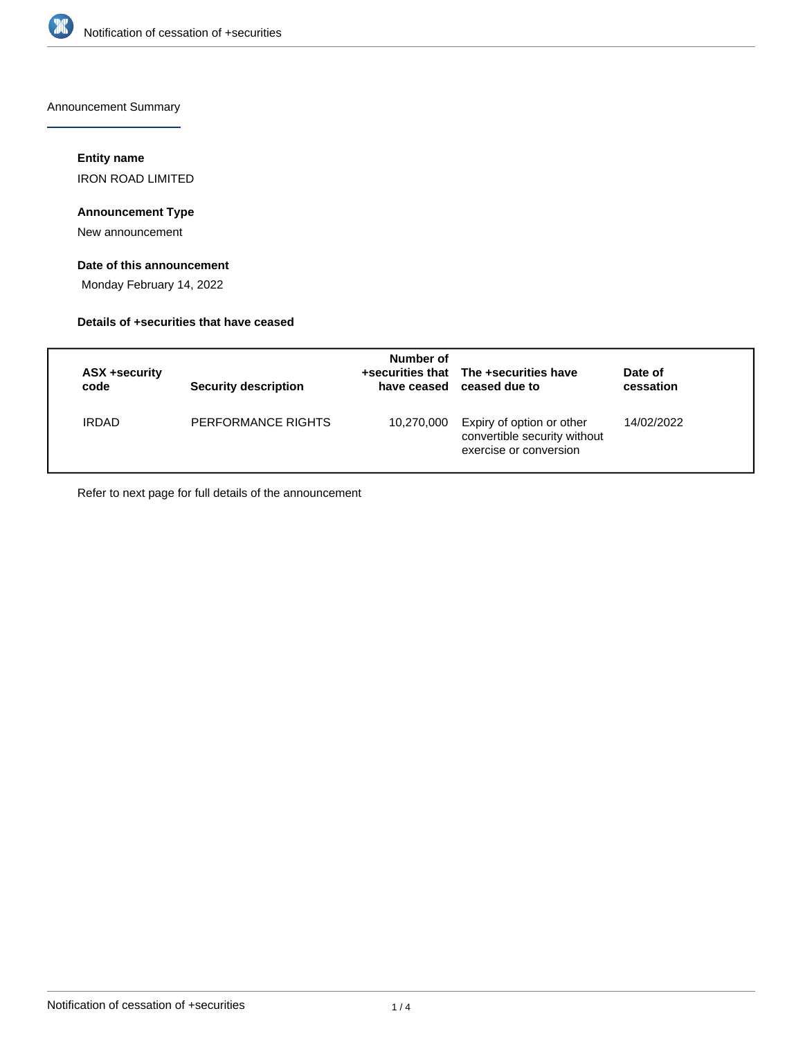

Announcement Summary

## **Entity name**

IRON ROAD LIMITED

# **Announcement Type**

New announcement

# **Date of this announcement**

Monday February 14, 2022

## **Details of +securities that have ceased**

| ASX +security<br>code | Security description | Number of  | +securities that The +securities have<br>have ceased ceased due to                  | Date of<br>cessation |
|-----------------------|----------------------|------------|-------------------------------------------------------------------------------------|----------------------|
| <b>IRDAD</b>          | PERFORMANCE RIGHTS   | 10,270,000 | Expiry of option or other<br>convertible security without<br>exercise or conversion | 14/02/2022           |

Refer to next page for full details of the announcement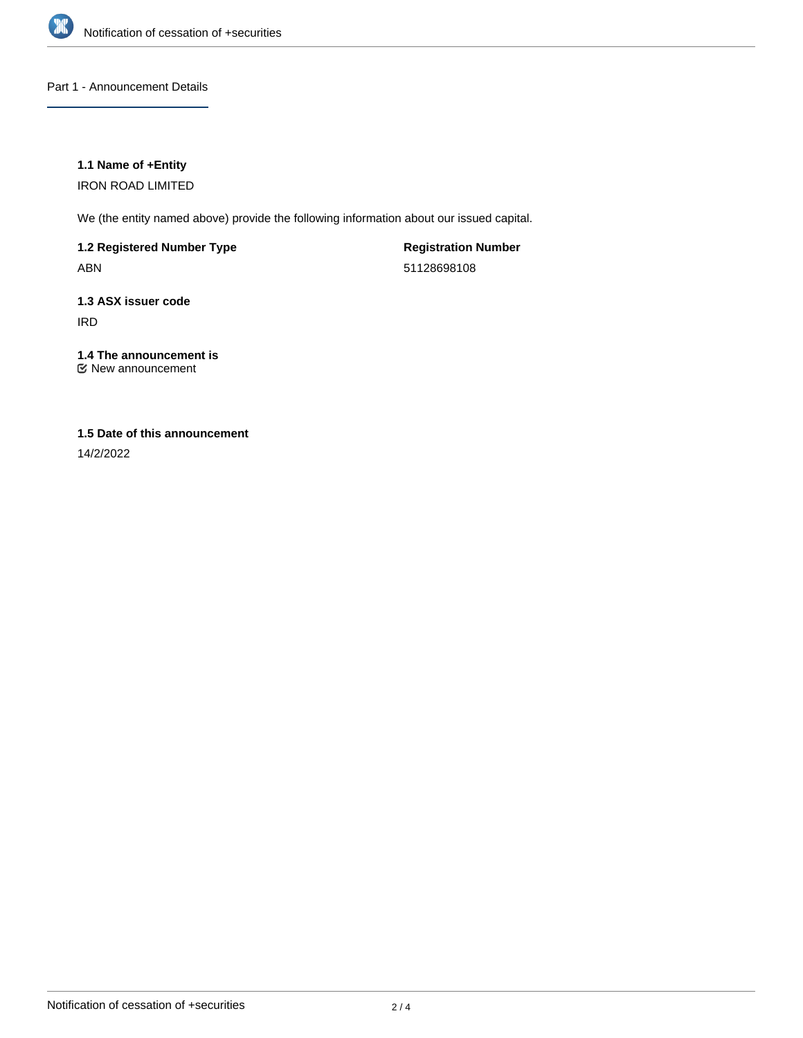

## Part 1 - Announcement Details

### **1.1 Name of +Entity**

IRON ROAD LIMITED

We (the entity named above) provide the following information about our issued capital.

**1.2 Registered Number Type**

ABN

**Registration Number** 51128698108

**1.3 ASX issuer code** IRD

**1.4 The announcement is** New announcement

# **1.5 Date of this announcement**

14/2/2022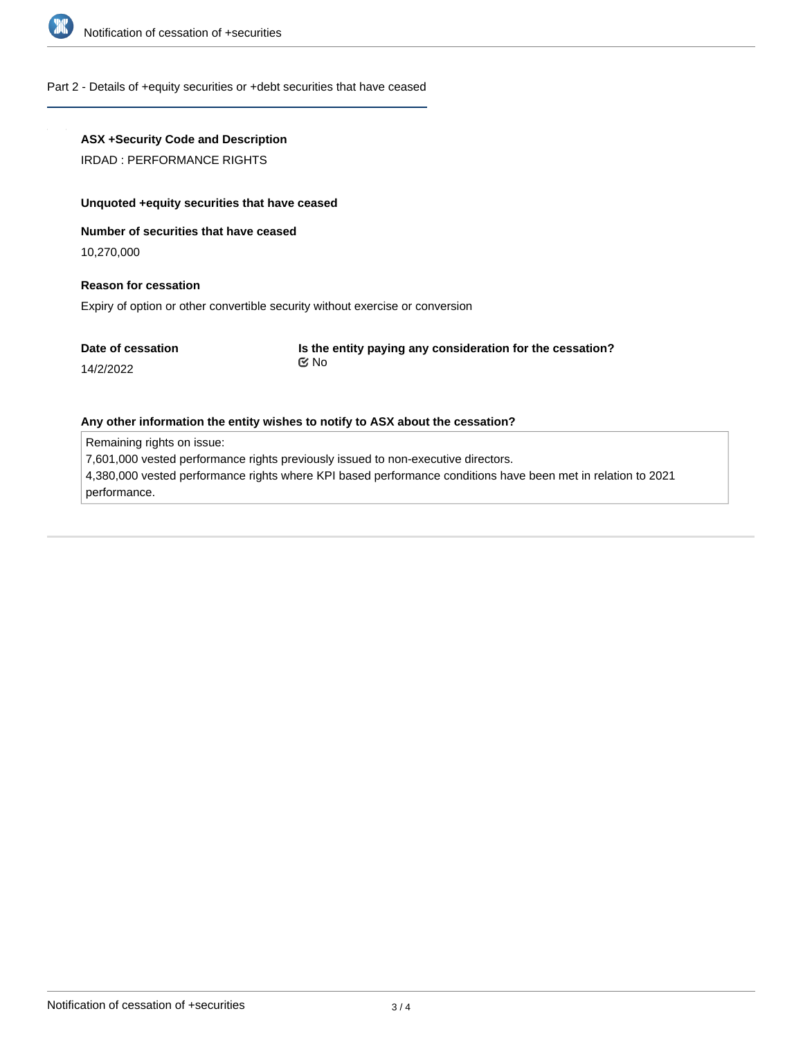

#### Part 2 - Details of +equity securities or +debt securities that have ceased

## **ASX +Security Code and Description**

IRDAD : PERFORMANCE RIGHTS

#### **Unquoted +equity securities that have ceased**

### **Number of securities that have ceased**

10,270,000

14/2/2022

## **Reason for cessation**

Expiry of option or other convertible security without exercise or conversion

**Is the entity paying any consideration for the cessation?** No

#### **Any other information the entity wishes to notify to ASX about the cessation?**

Remaining rights on issue:

7,601,000 vested performance rights previously issued to non-executive directors.

4,380,000 vested performance rights where KPI based performance conditions have been met in relation to 2021 performance.